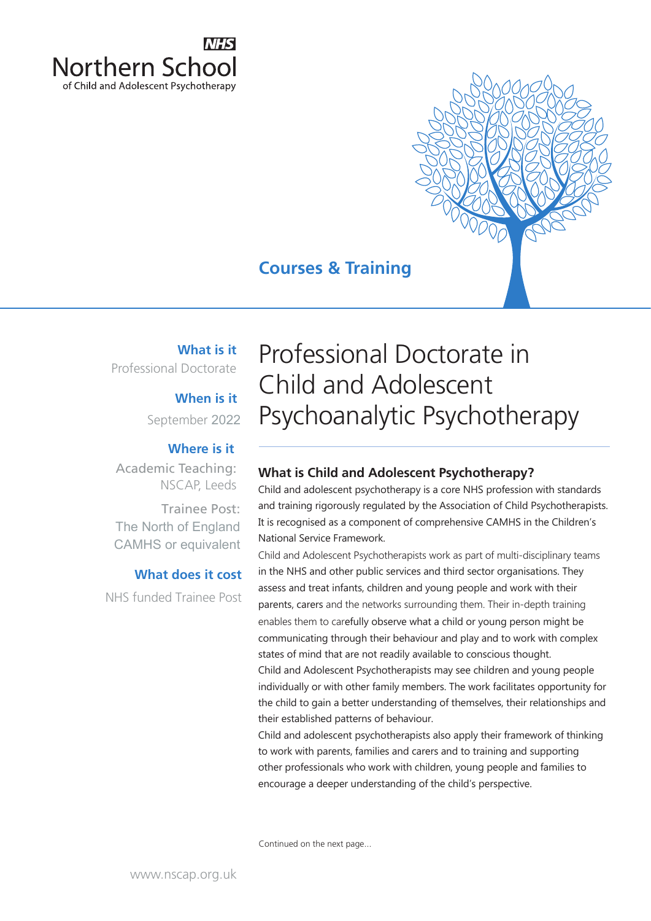

# **Courses & Training**

# **What is it**

Professional Doctorate

# **When is it**

September 2022

## **Where is it**

Academic Teaching: NSCAP, Leeds

Trainee Post: The North of England CAMHS or equivalent

# **What does it cost**

NHS funded Trainee Post

Professional Doctorate in Child and Adolescent Psychoanalytic Psychotherapy

# **What is Child and Adolescent Psychotherapy?**

Child and adolescent psychotherapy is a core NHS profession with standards and training rigorously regulated by the Association of Child Psychotherapists. It is recognised as a component of comprehensive CAMHS in the Children's National Service Framework.

Child and Adolescent Psychotherapists work as part of multi‐disciplinary teams in the NHS and other public services and third sector organisations. They assess and treat infants, children and young people and work with their parents, carers and the networks surrounding them. Their in‐depth training enables them to carefully observe what a child or young person might be communicating through their behaviour and play and to work with complex states of mind that are not readily available to conscious thought. Child and Adolescent Psychotherapists may see children and young people

individually or with other family members. The work facilitates opportunity for the child to gain a better understanding of themselves, their relationships and their established patterns of behaviour.

Child and adolescent psychotherapists also apply their framework of thinking to work with parents, families and carers and to training and supporting other professionals who work with children, young people and families to encourage a deeper understanding of the child's perspective.

Continued on the next page...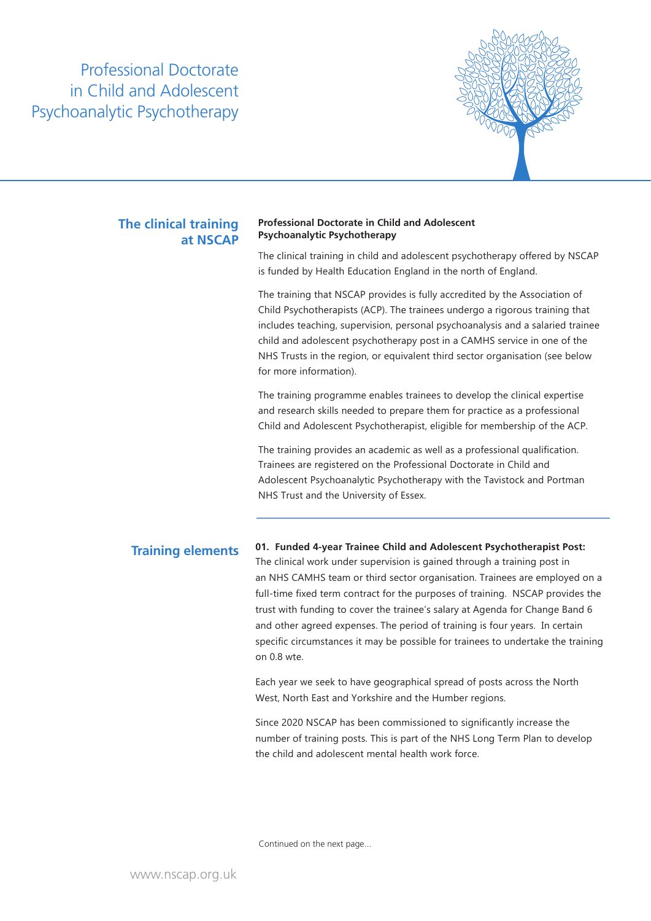

# **at NSCAP**

### **Professional Doctorate in Child and Adolescent Professional Doctorate in Child**<br>**Psychoanalytic Psychotherapy Psychoanalytic Psychotherapy**

The clinical training in child and adolescent psychotherapy offered by NSCAP is funded by Health Education England in the north of England.

The training that NSCAP provides is fully accredited by the Association of Child Psychotherapists (ACP). The trainees undergo a rigorous training that includes teaching, supervision, personal psychoanalysis and a salaried trainee child and adolescent psychotherapy post in a CAMHS service in one of the NHS Trusts in the region, or equivalent third sector organisation (see below for more information).

The training programme enables trainees to develop the clinical expertise and research skills needed to prepare them for practice as a professional Child and Adolescent Psychotherapist, eligible for membership of the ACP.

The training provides an academic as well as a professional qualification. Trainees are registered on the Professional Doctorate in Child and Adolescent Psychoanalytic Psychotherapy with the Tavistock and Portman NHS Trust and the University of Essex.

**Training elements 01. Funded 4-year Trainee Child and Adolescent Psychotherapist Post:** The clinical work under supervision is gained through a training post in an NHS CAMHS team or third sector organisation. Trainees are employed on a full-time fixed term contract for the purposes of training. NSCAP provides the trust with funding to cover the trainee's salary at Agenda for Change Band 6 and other agreed expenses. The period of training is four years. In certain specific circumstances it may be possible for trainees to undertake the training on 0.8 wte.

> Each year we seek to have geographical spread of posts across the North West, North East and Yorkshire and the Humber regions.

Since 2020 NSCAP has been commissioned to significantly increase the number of training posts. This is part of the NHS Long Term Plan to develop the child and adolescent mental health work force.

Continued on the next page...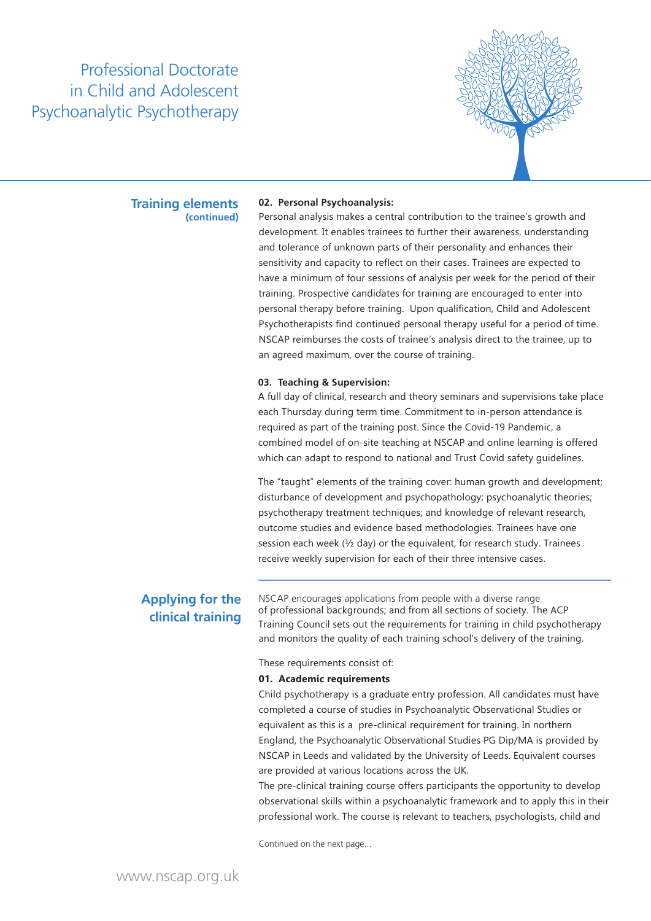

### **Training elements (continued)**

#### **02. Personal Psychoanalysis:**

Personal analysis makes a central contribution to the trainee's growth and development. It enables trainees to further their awareness, understanding and tolerance of unknown parts of their personality and enhances their sensitivity and capacity to reflect on their cases. Trainees are expected to have a minimum of four sessions of analysis per week for the period of their training. Prospective candidates for training are encouraged to enter into personal therapy before training. Upon qualification, Child and Adolescent Psychotherapists find continued personal therapy useful for a period of time. NSCAP reimburses the costs of trainee's analysis direct to the trainee, up to an agreed maximum, over the course of training.

#### **03. Teaching & Supervision:**

A full day of clinical, research and theory seminars and supervisions take place each Thursday during term time. Commitment to in-person attendance is required as part of the training post. Since the Covid-19 Pandemic, a combined model of on-site teaching at NSCAP and online learning is offered which can adapt to respond to national and Trust Covid safety guidelines.

The "taught" elements of the training cover: human growth and development; disturbance of development and psychopathology; psychoanalytic theories; psychotherapy treatment techniques; and knowledge of relevant research, outcome studies and evidence based methodologies. Trainees have one session each week (½ day) or the equivalent, for research study. Trainees receive weekly supervision for each of their three intensive cases.

Applying for the NSCAP encourages applications from people with a diverse range **clinical training** of professional backgrounds; and from all sections of society. The ACP Training Council sets out the requirements for training in child psychotherapy and monitors the quality of each training school's delivery of the training.

#### These requirements consist of:

#### **01. Academic requirements**

Child psychotherapy is a graduate entry profession. All candidates must have completed a course of studies in Psychoanalytic Observational Studies or equivalent as this is a pre-clinical requirement for training. In northern England, the Psychoanalytic Observational Studies PG Dip/MA is provided by NSCAP in Leeds and validated by the University of Leeds. Equivalent courses are provided at various locations across the UK.

The pre-clinical training course offers participants the opportunity to develop observational skills within a psychoanalytic framework and to apply this in their professional work. The course is relevant to teachers, psychologists, child and

Continued on the next page...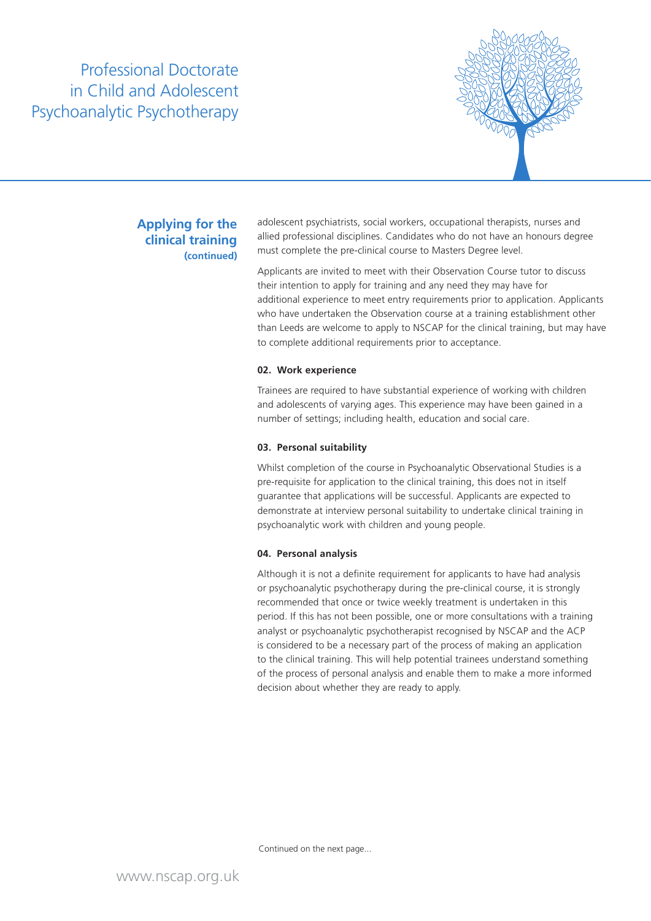

## **Applying for the clinical training (continued)**

adolescent psychiatrists, social workers, occupational therapists, nurses and allied professional disciplines. Candidates who do not have an honours degree must complete the pre-clinical course to Masters Degree level.

Applicants are invited to meet with their Observation Course tutor to discuss their intention to apply for training and any need they may have for additional experience to meet entry requirements prior to application. Applicants who have undertaken the Observation course at a training establishment other than Leeds are welcome to apply to NSCAP for the clinical training, but may have to complete additional requirements prior to acceptance.

#### **02. Work experience**

Trainees are required to have substantial experience of working with children and adolescents of varying ages. This experience may have been gained in a number of settings; including health, education and social care.

### **03. Personal suitability**

Whilst completion of the course in Psychoanalytic Observational Studies is a pre-requisite for application to the clinical training, this does not in itself guarantee that applications will be successful. Applicants are expected to demonstrate at interview personal suitability to undertake clinical training in psychoanalytic work with children and young people.

### **04. Personal analysis**

Although it is not a definite requirement for applicants to have had analysis or psychoanalytic psychotherapy during the pre-clinical course, it is strongly recommended that once or twice weekly treatment is undertaken in this period. If this has not been possible, one or more consultations with a training analyst or psychoanalytic psychotherapist recognised by NSCAP and the ACP is considered to be a necessary part of the process of making an application to the clinical training. This will help potential trainees understand something of the process of personal analysis and enable them to make a more informed decision about whether they are ready to apply.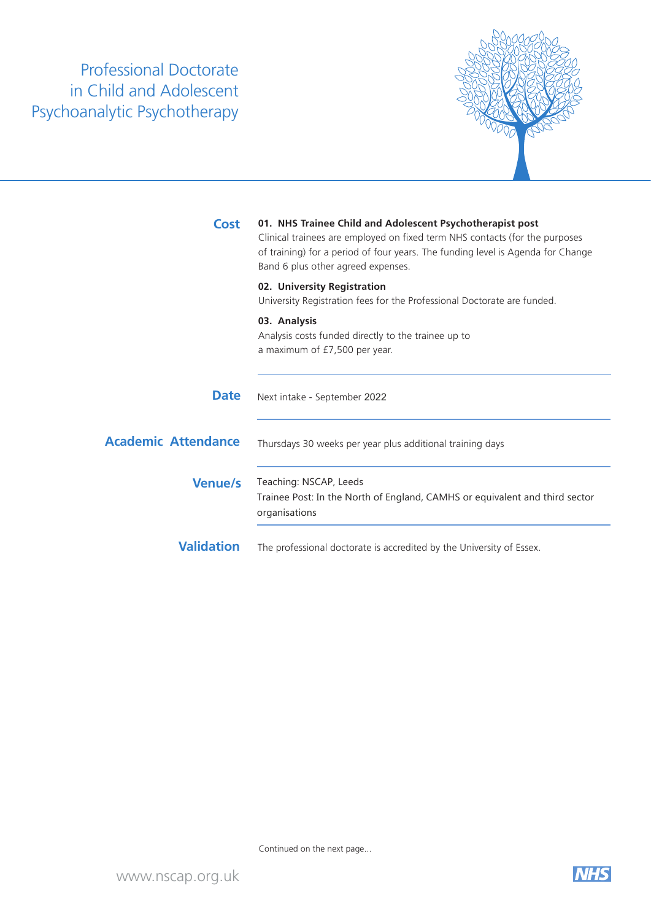

| <b>Cost</b>                | 01. NHS Trainee Child and Adolescent Psychotherapist post<br>Clinical trainees are employed on fixed term NHS contacts (for the purposes<br>of training) for a period of four years. The funding level is Agenda for Change<br>Band 6 plus other agreed expenses. |
|----------------------------|-------------------------------------------------------------------------------------------------------------------------------------------------------------------------------------------------------------------------------------------------------------------|
|                            | 02. University Registration<br>University Registration fees for the Professional Doctorate are funded.                                                                                                                                                            |
|                            | 03. Analysis<br>Analysis costs funded directly to the trainee up to<br>a maximum of £7,500 per year.                                                                                                                                                              |
| <b>Date</b>                | Next intake - September 2022                                                                                                                                                                                                                                      |
| <b>Academic Attendance</b> | Thursdays 30 weeks per year plus additional training days                                                                                                                                                                                                         |
| <b>Venue/s</b>             | Teaching: NSCAP, Leeds<br>Trainee Post: In the North of England, CAMHS or equivalent and third sector<br>organisations                                                                                                                                            |
| <b>Validation</b>          | The professional doctorate is accredited by the University of Essex.                                                                                                                                                                                              |